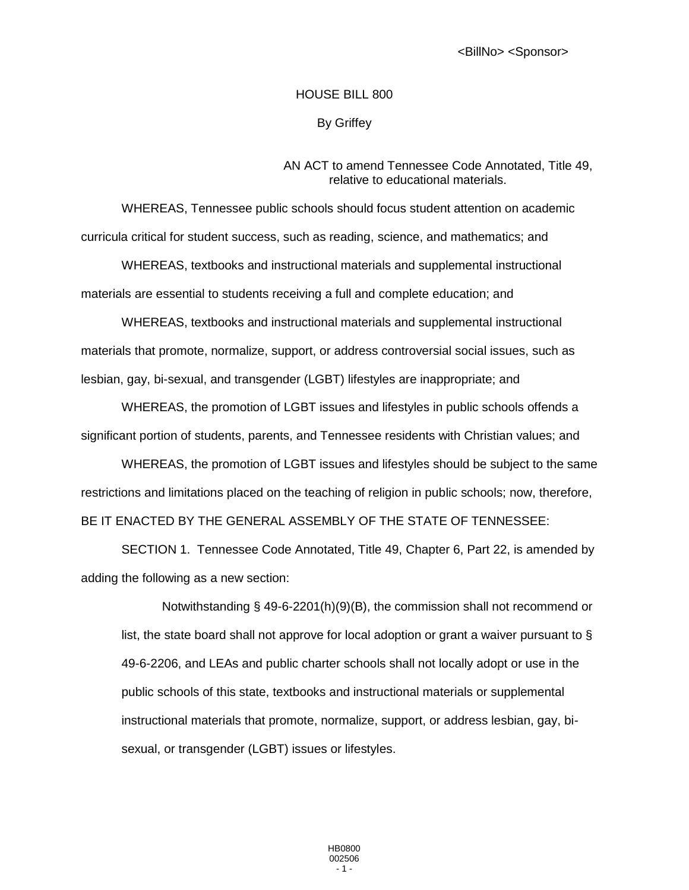## HOUSE BILL 800

By Griffey

## AN ACT to amend Tennessee Code Annotated, Title 49, relative to educational materials.

WHEREAS, Tennessee public schools should focus student attention on academic curricula critical for student success, such as reading, science, and mathematics; and

WHEREAS, textbooks and instructional materials and supplemental instructional materials are essential to students receiving a full and complete education; and

WHEREAS, textbooks and instructional materials and supplemental instructional materials that promote, normalize, support, or address controversial social issues, such as lesbian, gay, bi-sexual, and transgender (LGBT) lifestyles are inappropriate; and

WHEREAS, the promotion of LGBT issues and lifestyles in public schools offends a significant portion of students, parents, and Tennessee residents with Christian values; and

WHEREAS, the promotion of LGBT issues and lifestyles should be subject to the same restrictions and limitations placed on the teaching of religion in public schools; now, therefore, BE IT ENACTED BY THE GENERAL ASSEMBLY OF THE STATE OF TENNESSEE:

SECTION 1. Tennessee Code Annotated, Title 49, Chapter 6, Part 22, is amended by adding the following as a new section:

Notwithstanding § 49-6-2201(h)(9)(B), the commission shall not recommend or list, the state board shall not approve for local adoption or grant a waiver pursuant to § 49-6-2206, and LEAs and public charter schools shall not locally adopt or use in the public schools of this state, textbooks and instructional materials or supplemental instructional materials that promote, normalize, support, or address lesbian, gay, bisexual, or transgender (LGBT) issues or lifestyles.